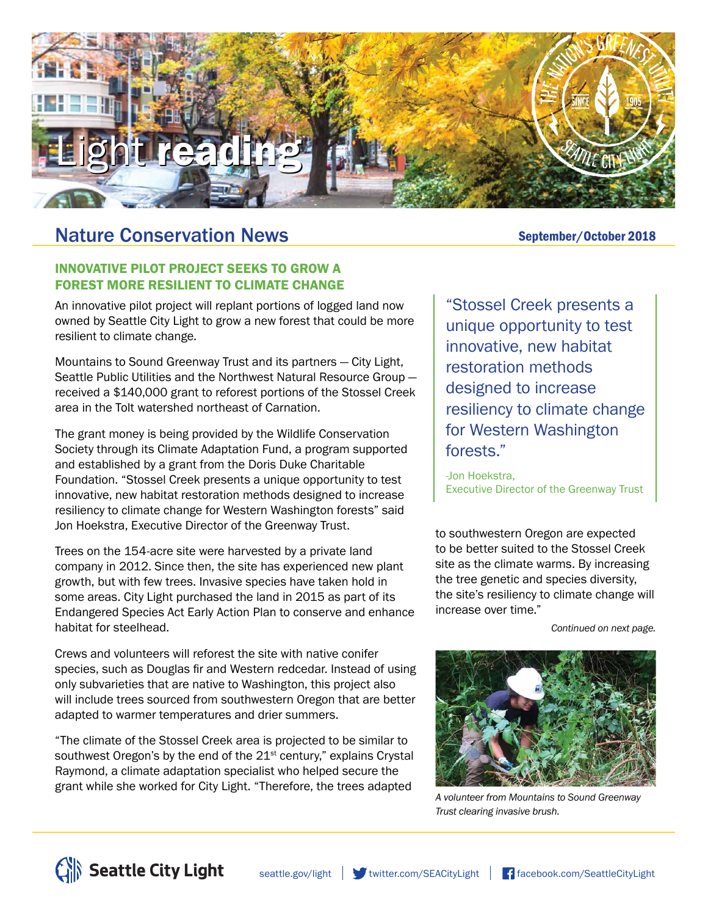

# Nature Conservation News<br>
September/October 2018

#### INNOVATIVE PILOT PROJECT SEEKS TO GROW A FOREST MORE RESILIENT TO CLIMATE CHANGE

An innovative pilot project will replant portions of logged land now owned by Seattle City Light to grow a new forest that could be more resilient to climate change.

Mountains to Sound Greenway Trust and its partners — City Light, Seattle Public Utilities and the Northwest Natural Resource Group received a \$140,000 grant to reforest portions of the Stossel Creek area in the Tolt watershed northeast of Carnation.

The grant money is being provided by the Wildlife Conservation Society through its Climate Adaptation Fund, a program supported and established by a grant from the Doris Duke Charitable Foundation. "Stossel Creek presents a unique opportunity to test innovative, new habitat restoration methods designed to increase resiliency to climate change for Western Washington forests" said Jon Hoekstra, Executive Director of the Greenway Trust.

Trees on the 154-acre site were harvested by a private land company in 2012. Since then, the site has experienced new plant growth, but with few trees. Invasive species have taken hold in some areas. City Light purchased the land in 2015 as part of its Endangered Species Act Early Action Plan to conserve and enhance habitat for steelhead.

Crews and volunteers will reforest the site with native conifer species, such as Douglas fir and Western redcedar. Instead of using only subvarieties that are native to Washington, this project also will include trees sourced from southwestern Oregon that are better adapted to warmer temperatures and drier summers.

"The climate of the Stossel Creek area is projected to be similar to southwest Oregon's by the end of the  $21^{st}$  century," explains Crystal Raymond, a climate adaptation specialist who helped secure the grant while she worked for City Light. "Therefore, the trees adapted

"Stossel Creek presents a unique opportunity to test innovative, new habitat restoration methods designed to increase resiliency to climate change for Western Washington forests."

-Jon Hoekstra, Executive Director of the Greenway Trust

to southwestern Oregon are expected to be better suited to the Stossel Creek site as the climate warms. By increasing the tree genetic and species diversity, the site's resiliency to climate change will increase over time."

*Continued on next page.*



*A volunteer from Mountains to Sound Greenway Trust clearing invasive brush.*



[seattle.gov/light](http://www.seattle.gov/light) witter.com/SEACityLight [facebook.com/SeattleCityLight](http://www.facebook.com/SeattleCityLight)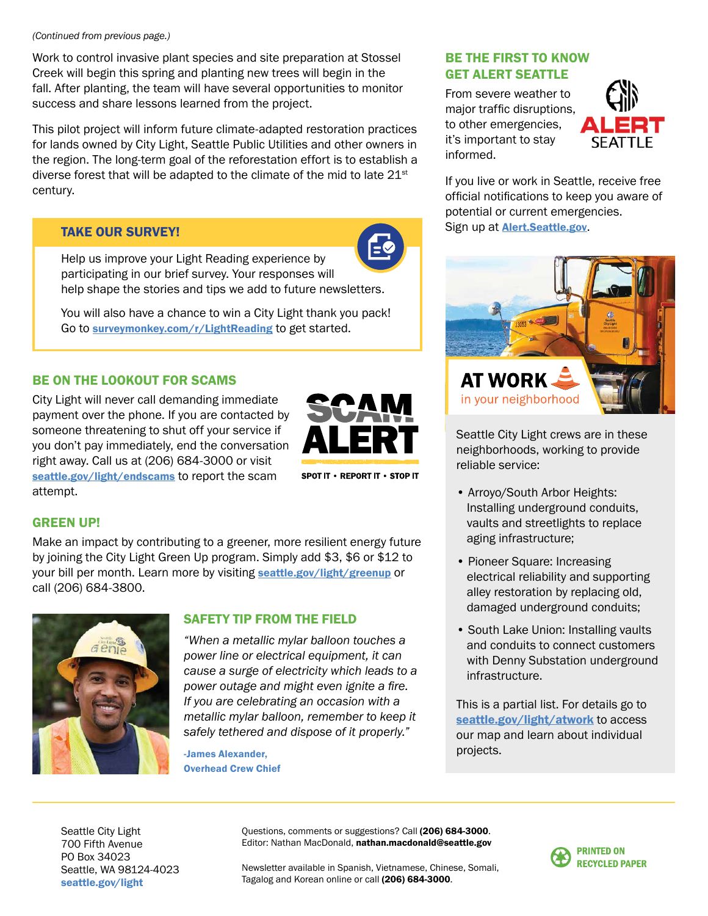*(Continued from previous page.)*

Work to control invasive plant species and site preparation at Stossel Creek will begin this spring and planting new trees will begin in the fall. After planting, the team will have several opportunities to monitor success and share lessons learned from the project.

This pilot project will inform future climate-adapted restoration practices for lands owned by City Light, Seattle Public Utilities and other owners in the region. The long-term goal of the reforestation effort is to establish a diverse forest that will be adapted to the climate of the mid to late 21<sup>st</sup> century.

### TAKE OUR SURVEY!



Help us improve your Light Reading experience by participating in our brief survey. Your responses will help shape the stories and tips we add to future newsletters.

You will also have a chance to win a City Light thank you pack! Go to [surveymonkey.com/r/LightReading](http://www.surveymonkey.com/r/LightReading) to get started.

## BE ON THE LOOKOUT FOR SCAMS

City Light will never call demanding immediate payment over the phone. If you are contacted by someone threatening to shut off your service if you don't pay immediately, end the conversation right away. Call us at (206) 684-3000 or visit [seattle.gov/light/endscams](http://www.seattle.gov/light/endscams) to report the scam attempt.



SPOT IT . REPORT IT . STOP IT

## GREEN UP!

Make an impact by contributing to a greener, more resilient energy future by joining the City Light Green Up program. Simply add \$3, \$6 or \$12 to your bill per month. Learn more by visiting [seattle.gov/light/greenup](http://www.seattle.gov/light/greenup) or call (206) 684-3800.



#### SAFETY TIP FROM THE FIELD

*"When a metallic mylar balloon touches a power line or electrical equipment, it can cause a surge of electricity which leads to a power outage and might even ignite a fire. If you are celebrating an occasion with a metallic mylar balloon, remember to keep it safely tethered and dispose of it properly."*

-James Alexander, Overhead Crew Chief

#### BE THE FIRST TO KNOW GET ALERT SEATTLE

From severe weather to major traffic disruptions, to other emergencies, it's important to stay informed.



If you live or work in Seattle, receive free official notifications to keep you aware of potential or current emergencies. Sign up at **<Alert.Seattle.gov>**.



Seattle City Light crews are in these neighborhoods, working to provide reliable service:

- Arroyo/South Arbor Heights: Installing underground conduits, vaults and streetlights to replace aging infrastructure;
- Pioneer Square: Increasing electrical reliability and supporting alley restoration by replacing old, damaged underground conduits;
- South Lake Union: Installing vaults and conduits to connect customers with Denny Substation underground infrastructure.

This is a partial list. For details go to [seattle.gov/light/atwork](http://www.seattle.gov/light/atwork) to access our map and learn about individual projects.

Seattle City Light 700 Fifth Avenue PO Box 34023 Seattle, WA 98124-4023 [seattle.gov/light](http://www.seattle.gov/light)

Questions, comments or suggestions? Call (206) 684-3000. Editor: Nathan MacDonald, nathan.macdonald@seattle.gov

Newsletter available in Spanish, Vietnamese, Chinese, Somali, Tagalog and Korean online or call (206) 684-3000.

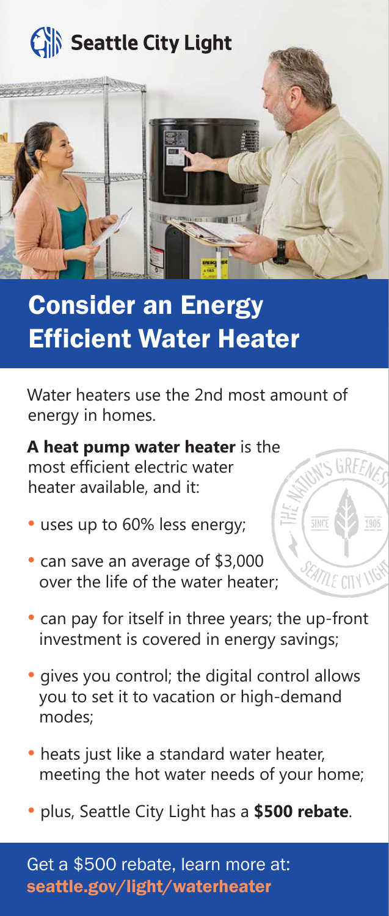

# **Consider an Energy** Efficient Water Heater

Water heaters use the 2nd most amount of energy in homes.

IS GREEN

**EATTLE CITY** 

**A heat pump water heater** is the most efficient electric water heater available, and it:

- uses up to 60% less energy;
- can save an average of \$3,000 over the life of the water heater;
- can pay for itself in three years; the up-front investment is covered in energy savings;
- gives you control; the digital control allows you to set it to vacation or high-demand modes;
- heats just like a standard water heater, meeting the hot water needs of your home;
- plus, Seattle City Light has a **\$500 rebate**.

Get a \$500 rebate, learn more at: [seattle.gov/light/waterheater](http://www.seattle.gov/light/waterheater)